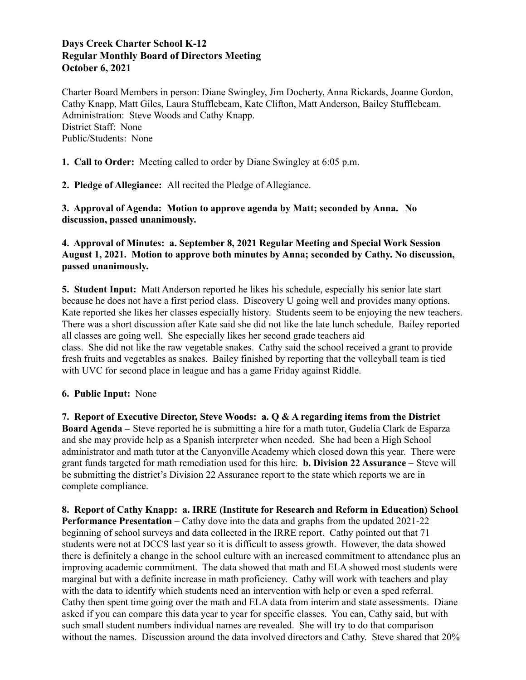# **Days Creek Charter School K-12 Regular Monthly Board of Directors Meeting October 6, 2021**

Charter Board Members in person: Diane Swingley, Jim Docherty, Anna Rickards, Joanne Gordon, Cathy Knapp, Matt Giles, Laura Stufflebeam, Kate Clifton, Matt Anderson, Bailey Stufflebeam. Administration: Steve Woods and Cathy Knapp. District Staff: None Public/Students: None

**1. Call to Order:** Meeting called to order by Diane Swingley at 6:05 p.m.

**2. Pledge of Allegiance:** All recited the Pledge of Allegiance.

**3. Approval of Agenda: Motion to approve agenda by Matt; seconded by Anna. No discussion, passed unanimously.**

### **4. Approval of Minutes: a. September 8, 2021 Regular Meeting and Special Work Session August 1, 2021. Motion to approve both minutes by Anna; seconded by Cathy. No discussion, passed unanimously.**

**5. Student Input:** Matt Anderson reported he likes his schedule, especially his senior late start because he does not have a first period class. Discovery U going well and provides many options. Kate reported she likes her classes especially history. Students seem to be enjoying the new teachers. There was a short discussion after Kate said she did not like the late lunch schedule. Bailey reported all classes are going well. She especially likes her second grade teachers aid class. She did not like the raw vegetable snakes. Cathy said the school received a grant to provide fresh fruits and vegetables as snakes. Bailey finished by reporting that the volleyball team is tied with UVC for second place in league and has a game Friday against Riddle.

# **6. Public Input:** None

**7. Report of Executive Director, Steve Woods: a. Q & A regarding items from the District Board Agenda –** Steve reported he is submitting a hire for a math tutor, Gudelia Clark de Esparza and she may provide help as a Spanish interpreter when needed. She had been a High School administrator and math tutor at the Canyonville Academy which closed down this year. There were grant funds targeted for math remediation used for this hire. **b. Division 22 Assurance –** Steve will be submitting the district's Division 22 Assurance report to the state which reports we are in complete compliance.

**8. Report of Cathy Knapp: a. IRRE (Institute for Research and Reform in Education) School Performance Presentation –** Cathy dove into the data and graphs from the updated 2021-22 beginning of school surveys and data collected in the IRRE report. Cathy pointed out that 71 students were not at DCCS last year so it is difficult to assess growth. However, the data showed there is definitely a change in the school culture with an increased commitment to attendance plus an improving academic commitment. The data showed that math and ELA showed most students were marginal but with a definite increase in math proficiency. Cathy will work with teachers and play with the data to identify which students need an intervention with help or even a sped referral. Cathy then spent time going over the math and ELA data from interim and state assessments. Diane asked if you can compare this data year to year for specific classes. You can, Cathy said, but with such small student numbers individual names are revealed. She will try to do that comparison without the names. Discussion around the data involved directors and Cathy. Steve shared that 20%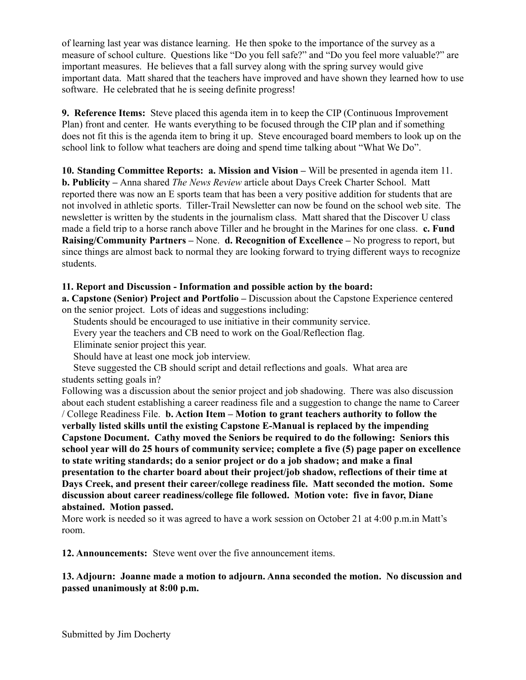of learning last year was distance learning. He then spoke to the importance of the survey as a measure of school culture. Questions like "Do you fell safe?" and "Do you feel more valuable?" are important measures. He believes that a fall survey along with the spring survey would give important data. Matt shared that the teachers have improved and have shown they learned how to use software. He celebrated that he is seeing definite progress!

**9. Reference Items:** Steve placed this agenda item in to keep the CIP (Continuous Improvement Plan) front and center. He wants everything to be focused through the CIP plan and if something does not fit this is the agenda item to bring it up. Steve encouraged board members to look up on the school link to follow what teachers are doing and spend time talking about "What We Do".

**10. Standing Committee Reports: a. Mission and Vision –** Will be presented in agenda item 11. **b. Publicity –** Anna shared *The News Review* article about Days Creek Charter School. Matt reported there was now an E sports team that has been a very positive addition for students that are not involved in athletic sports. Tiller-Trail Newsletter can now be found on the school web site. The newsletter is written by the students in the journalism class. Matt shared that the Discover U class made a field trip to a horse ranch above Tiller and he brought in the Marines for one class. **c. Fund Raising/Community Partners –** None. **d. Recognition of Excellence –** No progress to report, but since things are almost back to normal they are looking forward to trying different ways to recognize students.

# **11. Report and Discussion - Information and possible action by the board:**

**a. Capstone (Senior) Project and Portfolio –** Discussion about the Capstone Experience centered on the senior project. Lots of ideas and suggestions including:

Students should be encouraged to use initiative in their community service.

Every year the teachers and CB need to work on the Goal/Reflection flag.

Eliminate senior project this year.

Should have at least one mock job interview.

Steve suggested the CB should script and detail reflections and goals. What area are students setting goals in?

Following was a discussion about the senior project and job shadowing. There was also discussion about each student establishing a career readiness file and a suggestion to change the name to Career / College Readiness File. **b. Action Item – Motion to grant teachers authority to follow the verbally listed skills until the existing Capstone E-Manual is replaced by the impending Capstone Document. Cathy moved the Seniors be required to do the following: Seniors this school year will do 25 hours of community service; complete a five (5) page paper on excellence to state writing standards; do a senior project or do a job shadow; and make a final presentation to the charter board about their project/job shadow, reflections of their time at Days Creek, and present their career/college readiness file. Matt seconded the motion. Some discussion about career readiness/college file followed. Motion vote: five in favor, Diane abstained. Motion passed.**

More work is needed so it was agreed to have a work session on October 21 at 4:00 p.m.in Matt's room.

**12. Announcements:** Steve went over the five announcement items.

### **13. Adjourn: Joanne made a motion to adjourn. Anna seconded the motion. No discussion and passed unanimously at 8:00 p.m.**